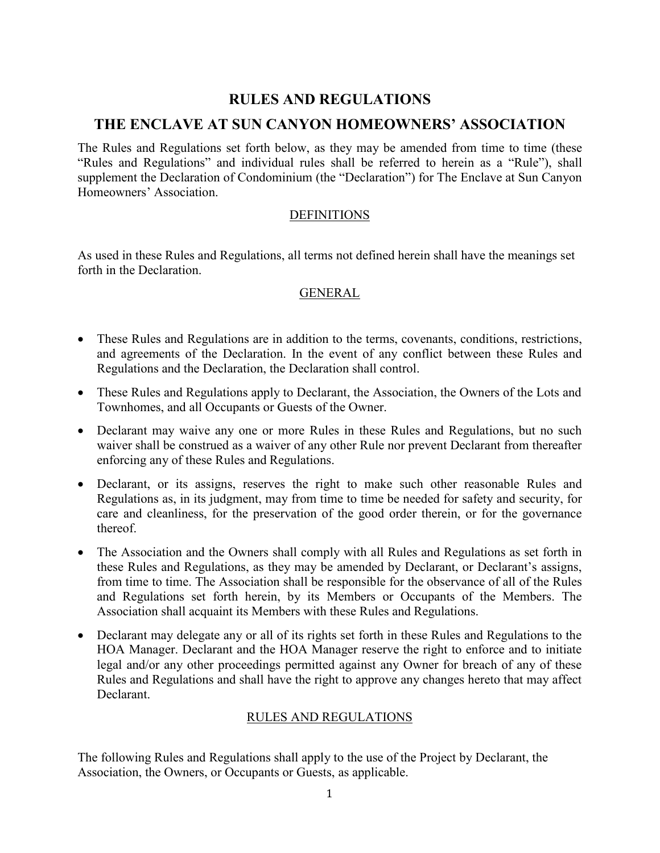# **RULES AND REGULATIONS**

# **THE ENCLAVE AT SUN CANYON HOMEOWNERS' ASSOCIATION**

The Rules and Regulations set forth below, as they may be amended from time to time (these "Rules and Regulations" and individual rules shall be referred to herein as a "Rule"), shall supplement the Declaration of Condominium (the "Declaration") for The Enclave at Sun Canyon Homeowners' Association.

# **DEFINITIONS**

As used in these Rules and Regulations, all terms not defined herein shall have the meanings set forth in the Declaration.

# GENERAL

- These Rules and Regulations are in addition to the terms, covenants, conditions, restrictions, and agreements of the Declaration. In the event of any conflict between these Rules and Regulations and the Declaration, the Declaration shall control.
- These Rules and Regulations apply to Declarant, the Association, the Owners of the Lots and Townhomes, and all Occupants or Guests of the Owner.
- Declarant may waive any one or more Rules in these Rules and Regulations, but no such waiver shall be construed as a waiver of any other Rule nor prevent Declarant from thereafter enforcing any of these Rules and Regulations.
- Declarant, or its assigns, reserves the right to make such other reasonable Rules and Regulations as, in its judgment, may from time to time be needed for safety and security, for care and cleanliness, for the preservation of the good order therein, or for the governance thereof.
- The Association and the Owners shall comply with all Rules and Regulations as set forth in these Rules and Regulations, as they may be amended by Declarant, or Declarant's assigns, from time to time. The Association shall be responsible for the observance of all of the Rules and Regulations set forth herein, by its Members or Occupants of the Members. The Association shall acquaint its Members with these Rules and Regulations.
- Declarant may delegate any or all of its rights set forth in these Rules and Regulations to the HOA Manager. Declarant and the HOA Manager reserve the right to enforce and to initiate legal and/or any other proceedings permitted against any Owner for breach of any of these Rules and Regulations and shall have the right to approve any changes hereto that may affect Declarant.

# RULES AND REGULATIONS

The following Rules and Regulations shall apply to the use of the Project by Declarant, the Association, the Owners, or Occupants or Guests, as applicable.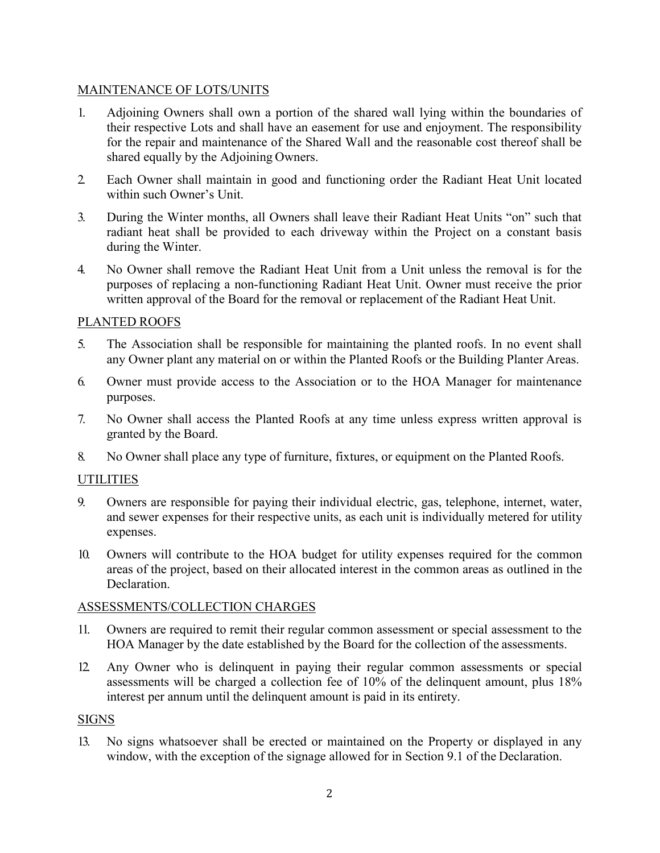# MAINTENANCE OF LOTS/UNITS

- 1. Adjoining Owners shall own a portion of the shared wall lying within the boundaries of their respective Lots and shall have an easement for use and enjoyment. The responsibility for the repair and maintenance of the Shared Wall and the reasonable cost thereof shall be shared equally by the Adjoining Owners.
- 2. Each Owner shall maintain in good and functioning order the Radiant Heat Unit located within such Owner's Unit.
- 3. During the Winter months, all Owners shall leave their Radiant Heat Units "on" such that radiant heat shall be provided to each driveway within the Project on a constant basis during the Winter.
- 4. No Owner shall remove the Radiant Heat Unit from a Unit unless the removal is for the purposes of replacing a non-functioning Radiant Heat Unit. Owner must receive the prior written approval of the Board for the removal or replacement of the Radiant Heat Unit.

# PLANTED ROOFS

- 5. The Association shall be responsible for maintaining the planted roofs. In no event shall any Owner plant any material on or within the Planted Roofs or the Building Planter Areas.
- 6. Owner must provide access to the Association or to the HOA Manager for maintenance purposes.
- 7. No Owner shall access the Planted Roofs at any time unless express written approval is granted by the Board.
- 8. No Owner shall place any type of furniture, fixtures, or equipment on the Planted Roofs.

# **UTILITIES**

- 9. Owners are responsible for paying their individual electric, gas, telephone, internet, water, and sewer expenses for their respective units, as each unit is individually metered for utility expenses.
- 10. Owners will contribute to the HOA budget for utility expenses required for the common areas of the project, based on their allocated interest in the common areas as outlined in the Declaration.

#### ASSESSMENTS/COLLECTION CHARGES

- 11. Owners are required to remit their regular common assessment or special assessment to the HOA Manager by the date established by the Board for the collection of the assessments.
- 12. Any Owner who is delinquent in paying their regular common assessments or special assessments will be charged a collection fee of 10% of the delinquent amount, plus 18% interest per annum until the delinquent amount is paid in its entirety.

#### SIGNS

13. No signs whatsoever shall be erected or maintained on the Property or displayed in any window, with the exception of the signage allowed for in Section 9.1 of the Declaration.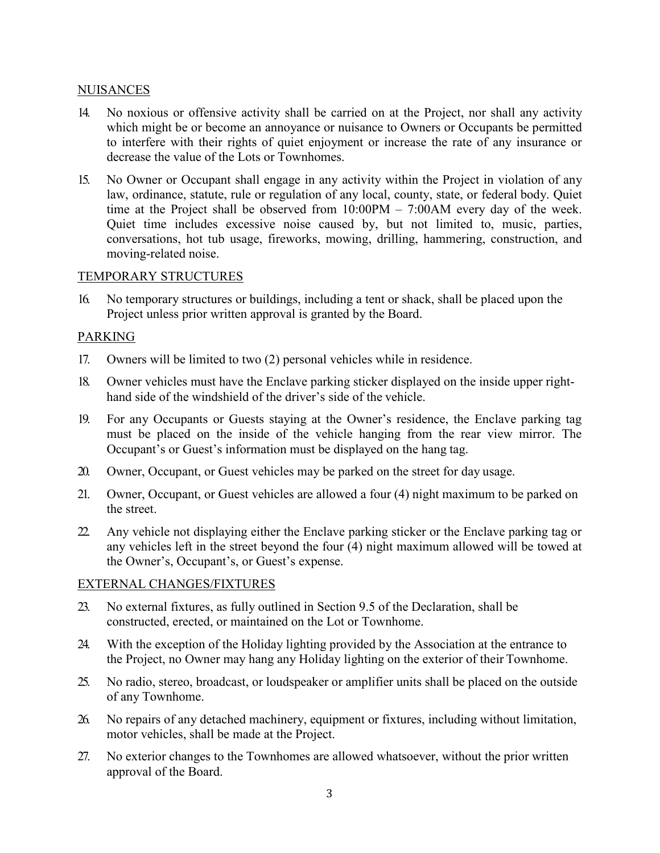# **NUISANCES**

- 14. No noxious or offensive activity shall be carried on at the Project, nor shall any activity which might be or become an annoyance or nuisance to Owners or Occupants be permitted to interfere with their rights of quiet enjoyment or increase the rate of any insurance or decrease the value of the Lots or Townhomes.
- 15. No Owner or Occupant shall engage in any activity within the Project in violation of any law, ordinance, statute, rule or regulation of any local, county, state, or federal body. Quiet time at the Project shall be observed from  $10:00PM - 7:00AM$  every day of the week. Quiet time includes excessive noise caused by, but not limited to, music, parties, conversations, hot tub usage, fireworks, mowing, drilling, hammering, construction, and moving-related noise.

# TEMPORARY STRUCTURES

16. No temporary structures or buildings, including a tent or shack, shall be placed upon the Project unless prior written approval is granted by the Board.

# PARKING

- 17. Owners will be limited to two (2) personal vehicles while in residence.
- 18. Owner vehicles must have the Enclave parking sticker displayed on the inside upper righthand side of the windshield of the driver's side of the vehicle.
- 19. For any Occupants or Guests staying at the Owner's residence, the Enclave parking tag must be placed on the inside of the vehicle hanging from the rear view mirror. The Occupant's or Guest's information must be displayed on the hang tag.
- 20. Owner, Occupant, or Guest vehicles may be parked on the street for day usage.
- 21. Owner, Occupant, or Guest vehicles are allowed a four (4) night maximum to be parked on the street.
- 22. Any vehicle not displaying either the Enclave parking sticker or the Enclave parking tag or any vehicles left in the street beyond the four (4) night maximum allowed will be towed at the Owner's, Occupant's, or Guest's expense.

# EXTERNAL CHANGES/FIXTURES

- 23. No external fixtures, as fully outlined in Section 9.5 of the Declaration, shall be constructed, erected, or maintained on the Lot or Townhome.
- 24. With the exception of the Holiday lighting provided by the Association at the entrance to the Project, no Owner may hang any Holiday lighting on the exterior of their Townhome.
- 25. No radio, stereo, broadcast, or loudspeaker or amplifier units shall be placed on the outside of any Townhome.
- 26. No repairs of any detached machinery, equipment or fixtures, including without limitation, motor vehicles, shall be made at the Project.
- 27. No exterior changes to the Townhomes are allowed whatsoever, without the prior written approval of the Board.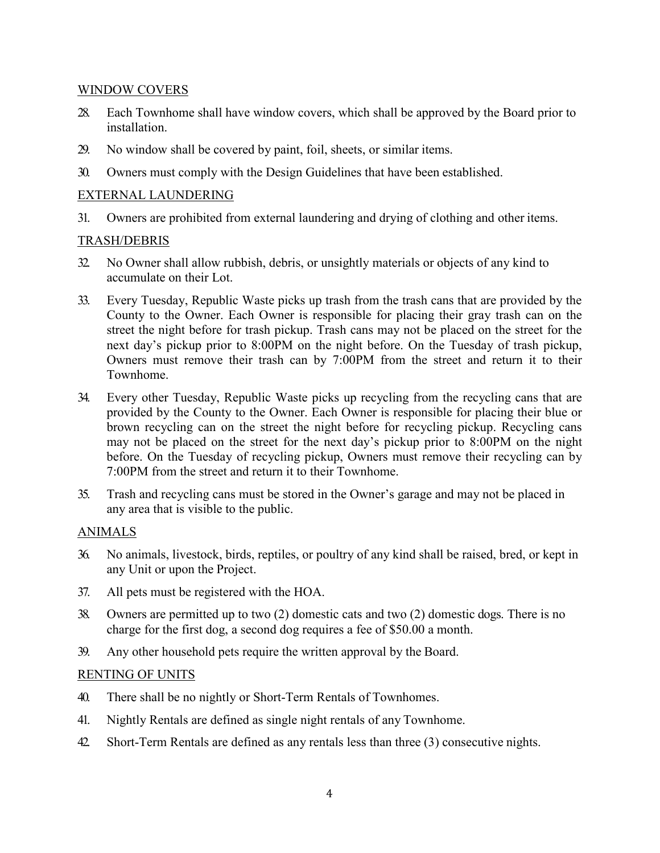# WINDOW COVERS

- 28. Each Townhome shall have window covers, which shall be approved by the Board prior to installation.
- 29. No window shall be covered by paint, foil, sheets, or similar items.
- 30. Owners must comply with the Design Guidelines that have been established.

# EXTERNAL LAUNDERING

31. Owners are prohibited from external laundering and drying of clothing and other items.

### TRASH/DEBRIS

- 32. No Owner shall allow rubbish, debris, or unsightly materials or objects of any kind to accumulate on their Lot.
- 33. Every Tuesday, Republic Waste picks up trash from the trash cans that are provided by the County to the Owner. Each Owner is responsible for placing their gray trash can on the street the night before for trash pickup. Trash cans may not be placed on the street for the next day's pickup prior to 8:00PM on the night before. On the Tuesday of trash pickup, Owners must remove their trash can by 7:00PM from the street and return it to their Townhome.
- 34. Every other Tuesday, Republic Waste picks up recycling from the recycling cans that are provided by the County to the Owner. Each Owner is responsible for placing their blue or brown recycling can on the street the night before for recycling pickup. Recycling cans may not be placed on the street for the next day's pickup prior to 8:00PM on the night before. On the Tuesday of recycling pickup, Owners must remove their recycling can by 7:00PM from the street and return it to their Townhome.
- 35. Trash and recycling cans must be stored in the Owner's garage and may not be placed in any area that is visible to the public.

#### ANIMALS

- 36. No animals, livestock, birds, reptiles, or poultry of any kind shall be raised, bred, or kept in any Unit or upon the Project.
- 37. All pets must be registered with the HOA.
- 38. Owners are permitted up to two (2) domestic cats and two (2) domestic dogs. There is no charge for the first dog, a second dog requires a fee of \$50.00 a month.
- 39. Any other household pets require the written approval by the Board.

#### RENTING OF UNITS

- 40. There shall be no nightly or Short-Term Rentals of Townhomes.
- 41. Nightly Rentals are defined as single night rentals of any Townhome.
- 42. Short-Term Rentals are defined as any rentals less than three (3) consecutive nights.